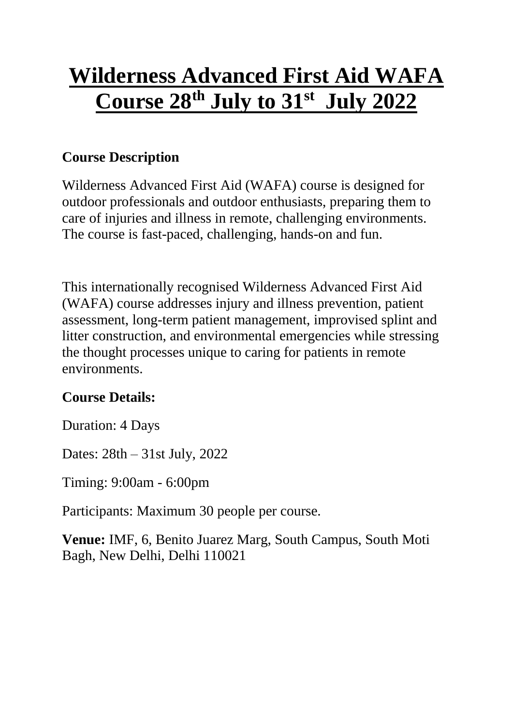## **Wilderness Advanced First Aid WAFA Course 28th July to 31st July 2022**

## **Course Description**

Wilderness Advanced First Aid (WAFA) course is designed for outdoor professionals and outdoor enthusiasts, preparing them to care of injuries and illness in remote, challenging environments. The course is fast-paced, challenging, hands-on and fun.

This internationally recognised Wilderness Advanced First Aid (WAFA) course addresses injury and illness prevention, patient assessment, long-term patient management, improvised splint and litter construction, and environmental emergencies while stressing the thought processes unique to caring for patients in remote environments.

## **Course Details:**

Duration: 4 Days

Dates: 28th – 31st July, 2022

Timing: 9:00am - 6:00pm

Participants: Maximum 30 people per course.

**Venue:** IMF, 6, Benito Juarez Marg, South Campus, South Moti Bagh, New Delhi, Delhi 110021